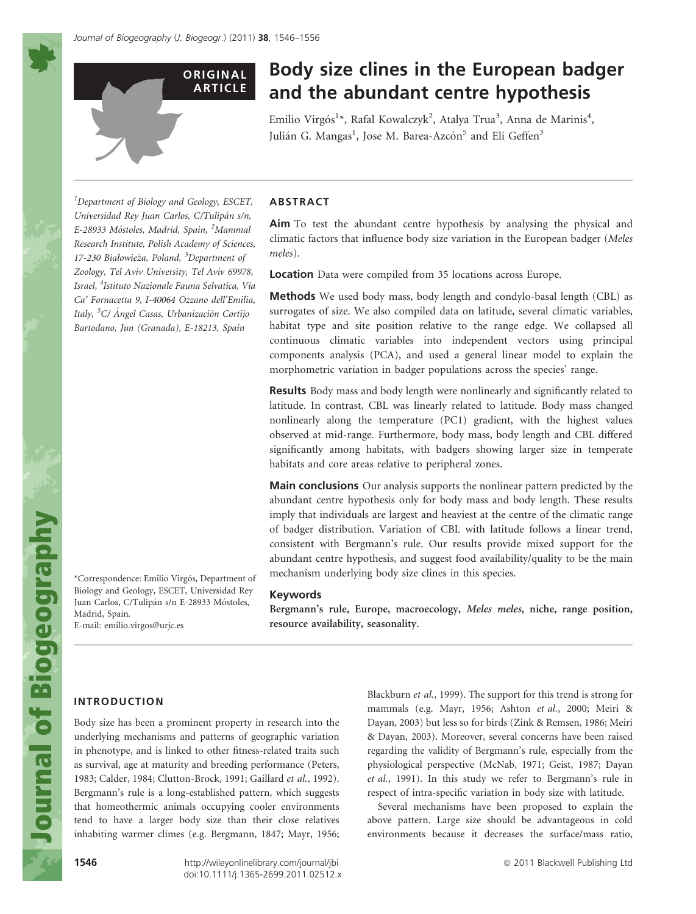**ORIGINAL** ARTICLE

# Body size clines in the European badger and the abundant centre hypothesis

Emilio Virgós<sup>1</sup>\*, Rafal Kowalczyk<sup>2</sup>, Atalya Trua<sup>3</sup>, Anna de Marinis<sup>4</sup>, Julián G. Mangas<sup>1</sup>, Jose M. Barea-Azcón<sup>5</sup> and Eli Geffen<sup>3</sup>

<sup>1</sup>Department of Biology and Geology, ESCET, Universidad Rey Juan Carlos, C/Tulipán s/n, E-28933 Móstoles, Madrid, Spain, <sup>2</sup>Mammal Research Institute, Polish Academy of Sciences, 17-230 Białowieża, Poland, <sup>3</sup>Department of Zoology, Tel Aviv University, Tel Aviv 69978, Israel, <sup>4</sup>Istituto Nazionale Fauna Selvatica, Via Ca' Fornacetta 9, I-40064 Ozzano dell'Emilia, Italy, <sup>5</sup>C/ Ángel Casas, Urbanización Cortijo Bartodano, Jun (Granada), E-18213, Spain

## ABSTRACT

Aim To test the abundant centre hypothesis by analysing the physical and climatic factors that influence body size variation in the European badger (Meles meles).

Location Data were compiled from 35 locations across Europe.

Methods We used body mass, body length and condylo-basal length (CBL) as surrogates of size. We also compiled data on latitude, several climatic variables, habitat type and site position relative to the range edge. We collapsed all continuous climatic variables into independent vectors using principal components analysis (PCA), and used a general linear model to explain the morphometric variation in badger populations across the species' range.

Results Body mass and body length were nonlinearly and significantly related to latitude. In contrast, CBL was linearly related to latitude. Body mass changed nonlinearly along the temperature (PC1) gradient, with the highest values observed at mid-range. Furthermore, body mass, body length and CBL differed significantly among habitats, with badgers showing larger size in temperate habitats and core areas relative to peripheral zones.

Main conclusions Our analysis supports the nonlinear pattern predicted by the abundant centre hypothesis only for body mass and body length. These results imply that individuals are largest and heaviest at the centre of the climatic range of badger distribution. Variation of CBL with latitude follows a linear trend, consistent with Bergmann's rule. Our results provide mixed support for the abundant centre hypothesis, and suggest food availability/quality to be the main mechanism underlying body size clines in this species.

#### Keywords

Bergmann's rule, Europe, macroecology, Meles meles, niche, range position, resource availability, seasonality.

\*Correspondence: Emilio Virgós, Department of Biology and Geology, ESCET, Universidad Rey Juan Carlos, C/Tulipán s/n E-28933 Móstoles, Madrid, Spain. E-mail: emilio.virgos@urjc.es

## INTRODUCTION

Body size has been a prominent property in research into the underlying mechanisms and patterns of geographic variation in phenotype, and is linked to other fitness-related traits such as survival, age at maturity and breeding performance (Peters, 1983; Calder, 1984; Clutton-Brock, 1991; Gaillard et al., 1992). Bergmann's rule is a long-established pattern, which suggests that homeothermic animals occupying cooler environments tend to have a larger body size than their close relatives inhabiting warmer climes (e.g. Bergmann, 1847; Mayr, 1956;

Blackburn et al., 1999). The support for this trend is strong for mammals (e.g. Mayr, 1956; Ashton et al., 2000; Meiri & Dayan, 2003) but less so for birds (Zink & Remsen, 1986; Meiri & Dayan, 2003). Moreover, several concerns have been raised regarding the validity of Bergmann's rule, especially from the physiological perspective (McNab, 1971; Geist, 1987; Dayan et al., 1991). In this study we refer to Bergmann's rule in respect of intra-specific variation in body size with latitude.

Several mechanisms have been proposed to explain the above pattern. Large size should be advantageous in cold environments because it decreases the surface/mass ratio,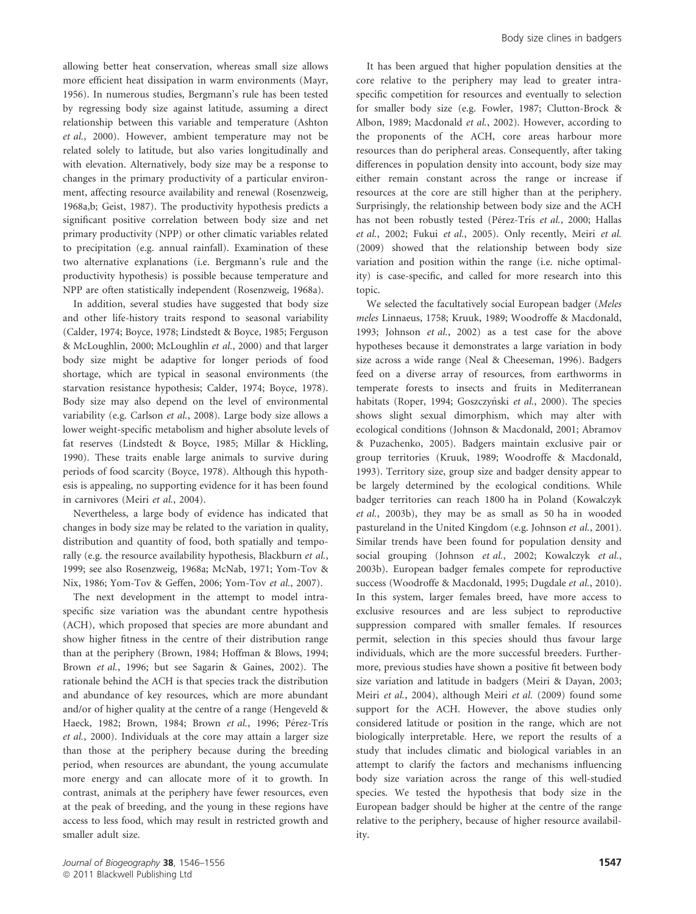allowing better heat conservation, whereas small size allows more efficient heat dissipation in warm environments (Mayr, 1956). In numerous studies, Bergmann's rule has been tested by regressing body size against latitude, assuming a direct relationship between this variable and temperature (Ashton et al., 2000). However, ambient temperature may not be related solely to latitude, but also varies longitudinally and with elevation. Alternatively, body size may be a response to changes in the primary productivity of a particular environment, affecting resource availability and renewal (Rosenzweig, 1968a,b; Geist, 1987). The productivity hypothesis predicts a significant positive correlation between body size and net primary productivity (NPP) or other climatic variables related to precipitation (e.g. annual rainfall). Examination of these two alternative explanations (i.e. Bergmann's rule and the productivity hypothesis) is possible because temperature and NPP are often statistically independent (Rosenzweig, 1968a).

In addition, several studies have suggested that body size and other life-history traits respond to seasonal variability (Calder, 1974; Boyce, 1978; Lindstedt & Boyce, 1985; Ferguson & McLoughlin, 2000; McLoughlin et al., 2000) and that larger body size might be adaptive for longer periods of food shortage, which are typical in seasonal environments (the starvation resistance hypothesis; Calder, 1974; Boyce, 1978). Body size may also depend on the level of environmental variability (e.g. Carlson et al., 2008). Large body size allows a lower weight-specific metabolism and higher absolute levels of fat reserves (Lindstedt & Boyce, 1985; Millar & Hickling, 1990). These traits enable large animals to survive during periods of food scarcity (Boyce, 1978). Although this hypothesis is appealing, no supporting evidence for it has been found in carnivores (Meiri et al., 2004).

Nevertheless, a large body of evidence has indicated that changes in body size may be related to the variation in quality, distribution and quantity of food, both spatially and temporally (e.g. the resource availability hypothesis, Blackburn et al., 1999; see also Rosenzweig, 1968a; McNab, 1971; Yom-Tov & Nix, 1986; Yom-Tov & Geffen, 2006; Yom-Tov et al., 2007).

The next development in the attempt to model intraspecific size variation was the abundant centre hypothesis (ACH), which proposed that species are more abundant and show higher fitness in the centre of their distribution range than at the periphery (Brown, 1984; Hoffman & Blows, 1994; Brown et al., 1996; but see Sagarin & Gaines, 2002). The rationale behind the ACH is that species track the distribution and abundance of key resources, which are more abundant and/or of higher quality at the centre of a range (Hengeveld & Haeck, 1982; Brown, 1984; Brown et al., 1996; Pérez-Trís et al., 2000). Individuals at the core may attain a larger size than those at the periphery because during the breeding period, when resources are abundant, the young accumulate more energy and can allocate more of it to growth. In contrast, animals at the periphery have fewer resources, even at the peak of breeding, and the young in these regions have access to less food, which may result in restricted growth and smaller adult size.

It has been argued that higher population densities at the core relative to the periphery may lead to greater intraspecific competition for resources and eventually to selection for smaller body size (e.g. Fowler, 1987; Clutton-Brock & Albon, 1989; Macdonald et al., 2002). However, according to the proponents of the ACH, core areas harbour more resources than do peripheral areas. Consequently, after taking differences in population density into account, body size may either remain constant across the range or increase if resources at the core are still higher than at the periphery. Surprisingly, the relationship between body size and the ACH has not been robustly tested (Pérez-Trís et al., 2000; Hallas et al., 2002; Fukui et al., 2005). Only recently, Meiri et al. (2009) showed that the relationship between body size variation and position within the range (i.e. niche optimality) is case-specific, and called for more research into this topic.

We selected the facultatively social European badger (Meles meles Linnaeus, 1758; Kruuk, 1989; Woodroffe & Macdonald, 1993; Johnson et al., 2002) as a test case for the above hypotheses because it demonstrates a large variation in body size across a wide range (Neal & Cheeseman, 1996). Badgers feed on a diverse array of resources, from earthworms in temperate forests to insects and fruits in Mediterranean habitats (Roper, 1994; Goszczyński et al., 2000). The species shows slight sexual dimorphism, which may alter with ecological conditions (Johnson & Macdonald, 2001; Abramov & Puzachenko, 2005). Badgers maintain exclusive pair or group territories (Kruuk, 1989; Woodroffe & Macdonald, 1993). Territory size, group size and badger density appear to be largely determined by the ecological conditions. While badger territories can reach 1800 ha in Poland (Kowalczyk et al., 2003b), they may be as small as 50 ha in wooded pastureland in the United Kingdom (e.g. Johnson et al., 2001). Similar trends have been found for population density and social grouping (Johnson et al., 2002; Kowalczyk et al., 2003b). European badger females compete for reproductive success (Woodroffe & Macdonald, 1995; Dugdale et al., 2010). In this system, larger females breed, have more access to exclusive resources and are less subject to reproductive suppression compared with smaller females. If resources permit, selection in this species should thus favour large individuals, which are the more successful breeders. Furthermore, previous studies have shown a positive fit between body size variation and latitude in badgers (Meiri & Dayan, 2003; Meiri et al., 2004), although Meiri et al. (2009) found some support for the ACH. However, the above studies only considered latitude or position in the range, which are not biologically interpretable. Here, we report the results of a study that includes climatic and biological variables in an attempt to clarify the factors and mechanisms influencing body size variation across the range of this well-studied species. We tested the hypothesis that body size in the European badger should be higher at the centre of the range relative to the periphery, because of higher resource availability.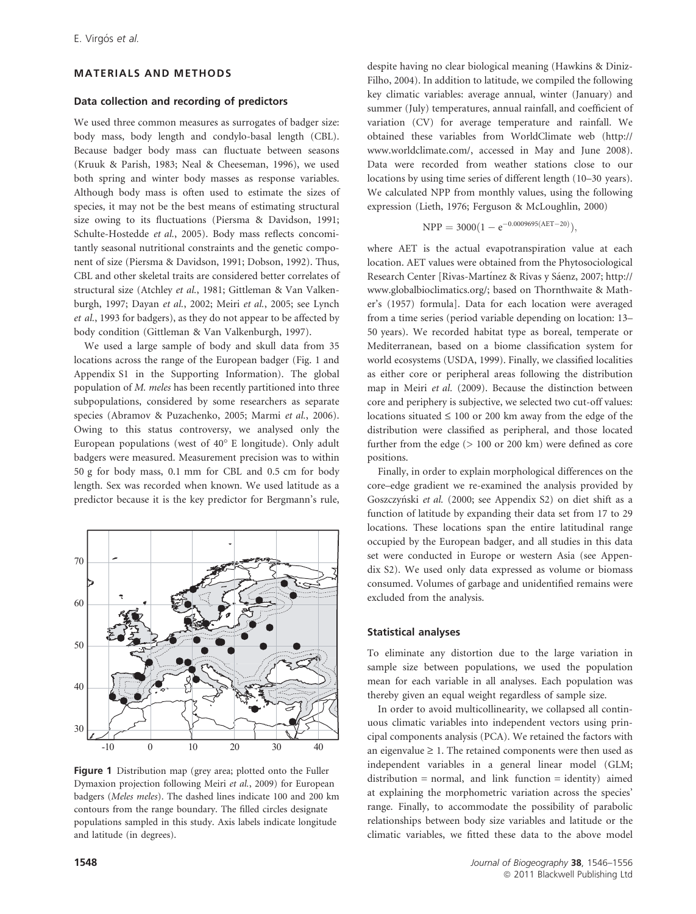#### MATERIALS AND METHODS

#### Data collection and recording of predictors

We used three common measures as surrogates of badger size: body mass, body length and condylo-basal length (CBL). Because badger body mass can fluctuate between seasons (Kruuk & Parish, 1983; Neal & Cheeseman, 1996), we used both spring and winter body masses as response variables. Although body mass is often used to estimate the sizes of species, it may not be the best means of estimating structural size owing to its fluctuations (Piersma & Davidson, 1991; Schulte-Hostedde et al., 2005). Body mass reflects concomitantly seasonal nutritional constraints and the genetic component of size (Piersma & Davidson, 1991; Dobson, 1992). Thus, CBL and other skeletal traits are considered better correlates of structural size (Atchley et al., 1981; Gittleman & Van Valkenburgh, 1997; Dayan et al., 2002; Meiri et al., 2005; see Lynch et al., 1993 for badgers), as they do not appear to be affected by body condition (Gittleman & Van Valkenburgh, 1997).

We used a large sample of body and skull data from 35 locations across the range of the European badger (Fig. 1 and Appendix S1 in the Supporting Information). The global population of M. meles has been recently partitioned into three subpopulations, considered by some researchers as separate species (Abramov & Puzachenko, 2005; Marmi et al., 2006). Owing to this status controversy, we analysed only the European populations (west of 40° E longitude). Only adult badgers were measured. Measurement precision was to within 50 g for body mass, 0.1 mm for CBL and 0.5 cm for body length. Sex was recorded when known. We used latitude as a predictor because it is the key predictor for Bergmann's rule,



Figure 1 Distribution map (grey area; plotted onto the Fuller Dymaxion projection following Meiri et al., 2009) for European badgers (Meles meles). The dashed lines indicate 100 and 200 km contours from the range boundary. The filled circles designate populations sampled in this study. Axis labels indicate longitude and latitude (in degrees).

despite having no clear biological meaning (Hawkins & Diniz-Filho, 2004). In addition to latitude, we compiled the following key climatic variables: average annual, winter (January) and summer (July) temperatures, annual rainfall, and coefficient of variation (CV) for average temperature and rainfall. We obtained these variables from WorldClimate web (http:// www.worldclimate.com/, accessed in May and June 2008). Data were recorded from weather stations close to our locations by using time series of different length (10–30 years). We calculated NPP from monthly values, using the following expression (Lieth, 1976; Ferguson & McLoughlin, 2000)

$$
NPP = 3000(1 - e^{-0.0009695(AET - 20)}),
$$

where AET is the actual evapotranspiration value at each location. AET values were obtained from the Phytosociological Research Center [Rivas-Martínez & Rivas y Sáenz, 2007; http:// www.globalbioclimatics.org/; based on Thornthwaite & Mather's (1957) formula]. Data for each location were averaged from a time series (period variable depending on location: 13– 50 years). We recorded habitat type as boreal, temperate or Mediterranean, based on a biome classification system for world ecosystems (USDA, 1999). Finally, we classified localities as either core or peripheral areas following the distribution map in Meiri et al. (2009). Because the distinction between core and periphery is subjective, we selected two cut-off values: locations situated  $\leq 100$  or 200 km away from the edge of the distribution were classified as peripheral, and those located further from the edge (> 100 or 200 km) were defined as core positions.

Finally, in order to explain morphological differences on the core–edge gradient we re-examined the analysis provided by Goszczyński et al. (2000; see Appendix S2) on diet shift as a function of latitude by expanding their data set from 17 to 29 locations. These locations span the entire latitudinal range occupied by the European badger, and all studies in this data set were conducted in Europe or western Asia (see Appendix S2). We used only data expressed as volume or biomass consumed. Volumes of garbage and unidentified remains were excluded from the analysis.

## Statistical analyses

To eliminate any distortion due to the large variation in sample size between populations, we used the population mean for each variable in all analyses. Each population was thereby given an equal weight regardless of sample size.

In order to avoid multicollinearity, we collapsed all continuous climatic variables into independent vectors using principal components analysis (PCA). We retained the factors with an eigenvalue  $\geq 1$ . The retained components were then used as independent variables in a general linear model (GLM; distribution = normal, and link function = identity) aimed at explaining the morphometric variation across the species' range. Finally, to accommodate the possibility of parabolic relationships between body size variables and latitude or the climatic variables, we fitted these data to the above model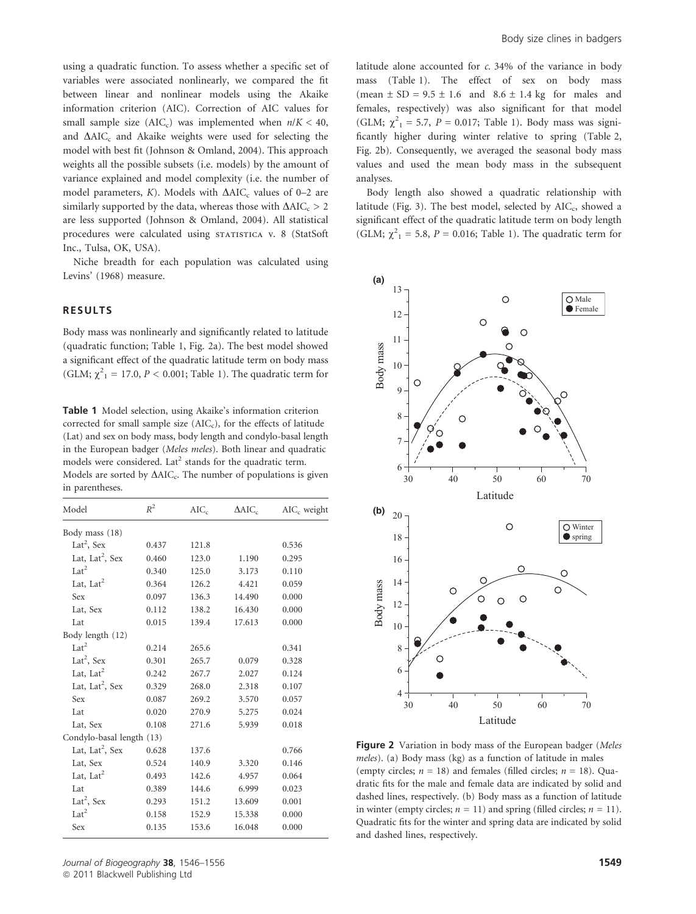using a quadratic function. To assess whether a specific set of variables were associated nonlinearly, we compared the fit between linear and nonlinear models using the Akaike information criterion (AIC). Correction of AIC values for small sample size (AIC<sub>c</sub>) was implemented when  $n/K < 40$ , and  $\Delta AIC_c$  and Akaike weights were used for selecting the model with best fit (Johnson & Omland, 2004). This approach weights all the possible subsets (i.e. models) by the amount of variance explained and model complexity (i.e. the number of model parameters,  $K$ ). Models with  $\Delta AIC_c$  values of 0–2 are similarly supported by the data, whereas those with  $\Delta AIC_c > 2$ are less supported (Johnson & Omland, 2004). All statistical procedures were calculated using STATISTICA v. 8 (StatSoft Inc., Tulsa, OK, USA).

Niche breadth for each population was calculated using Levins' (1968) measure.

## RESULTS

Body mass was nonlinearly and significantly related to latitude (quadratic function; Table 1, Fig. 2a). The best model showed a significant effect of the quadratic latitude term on body mass (GLM;  $\chi^2_1$  = 17.0, *P* < 0.001; Table 1). The quadratic term for

Table 1 Model selection, using Akaike's information criterion corrected for small sample size  $(AIC<sub>c</sub>)$ , for the effects of latitude (Lat) and sex on body mass, body length and condylo-basal length in the European badger (Meles meles). Both linear and quadratic models were considered. Lat<sup>2</sup> stands for the quadratic term. Models are sorted by  $\Delta AIC_c$ . The number of populations is given in parentheses.

| Model                       | $R^2$ | $AIC_c$ | $\Delta AIC_c$ | $AIC_c$ weight |  |  |
|-----------------------------|-------|---------|----------------|----------------|--|--|
| Body mass (18)              |       |         |                |                |  |  |
| Lat <sup>2</sup> , Sex      | 0.437 | 121.8   |                | 0.536          |  |  |
| Lat, Lat <sup>2</sup> , Sex | 0.460 | 123.0   | 1.190          | 0.295          |  |  |
| Lat <sup>2</sup>            | 0.340 | 125.0   | 3.173          | 0.110          |  |  |
| Lat, Lat $2$                | 0.364 | 126.2   | 4.421          | 0.059          |  |  |
| Sex                         | 0.097 | 136.3   | 14.490         | 0.000          |  |  |
| Lat, Sex                    | 0.112 | 138.2   | 16.430         | 0.000          |  |  |
| Lat                         | 0.015 | 139.4   | 17.613         | 0.000          |  |  |
| Body length (12)            |       |         |                |                |  |  |
| Lat <sup>2</sup>            | 0.214 | 265.6   |                | 0.341          |  |  |
| Lat <sup>2</sup> , Sex      | 0.301 | 265.7   | 0.079          | 0.328          |  |  |
| Lat, Lat $2$                | 0.242 | 267.7   | 2.027          | 0.124          |  |  |
| Lat, Lat <sup>2</sup> , Sex | 0.329 | 268.0   | 2.318          | 0.107          |  |  |
| Sex                         | 0.087 | 269.2   | 3.570          | 0.057          |  |  |
| Lat                         | 0.020 | 270.9   | 5.275          | 0.024          |  |  |
| Lat, Sex                    | 0.108 | 271.6   | 5.939          | 0.018          |  |  |
| Condylo-basal length (13)   |       |         |                |                |  |  |
| Lat, Lat <sup>2</sup> , Sex | 0.628 | 137.6   |                | 0.766          |  |  |
| Lat, Sex                    | 0.524 | 140.9   | 3.320          | 0.146          |  |  |
| Lat, Lat <sup>2</sup>       | 0.493 | 142.6   | 4.957          | 0.064          |  |  |
| Lat                         | 0.389 | 144.6   | 6.999          | 0.023          |  |  |
| Lat <sup>2</sup> , Sex      | 0.293 | 151.2   | 13.609         | 0.001          |  |  |
| Lat <sup>2</sup>            | 0.158 | 152.9   | 15.338         | 0.000          |  |  |
| Sex                         | 0.135 | 153.6   | 16.048         | 0.000          |  |  |

latitude alone accounted for  $c$ . 34% of the variance in body mass (Table 1). The effect of sex on body mass (mean  $\pm$  SD = 9.5  $\pm$  1.6 and 8.6  $\pm$  1.4 kg for males and females, respectively) was also significant for that model (GLM;  $\chi^{2}_{1} = 5.7$ ,  $P = 0.017$ ; Table 1). Body mass was significantly higher during winter relative to spring (Table 2, Fig. 2b). Consequently, we averaged the seasonal body mass values and used the mean body mass in the subsequent analyses.

Body length also showed a quadratic relationship with latitude (Fig. 3). The best model, selected by  $AIC_c$ , showed a significant effect of the quadratic latitude term on body length (GLM;  $\chi^2$ <sub>1</sub> = 5.8, *P* = 0.016; Table 1). The quadratic term for



Figure 2 Variation in body mass of the European badger (Meles meles). (a) Body mass (kg) as a function of latitude in males (empty circles;  $n = 18$ ) and females (filled circles;  $n = 18$ ). Quadratic fits for the male and female data are indicated by solid and dashed lines, respectively. (b) Body mass as a function of latitude in winter (empty circles;  $n = 11$ ) and spring (filled circles;  $n = 11$ ). Quadratic fits for the winter and spring data are indicated by solid and dashed lines, respectively.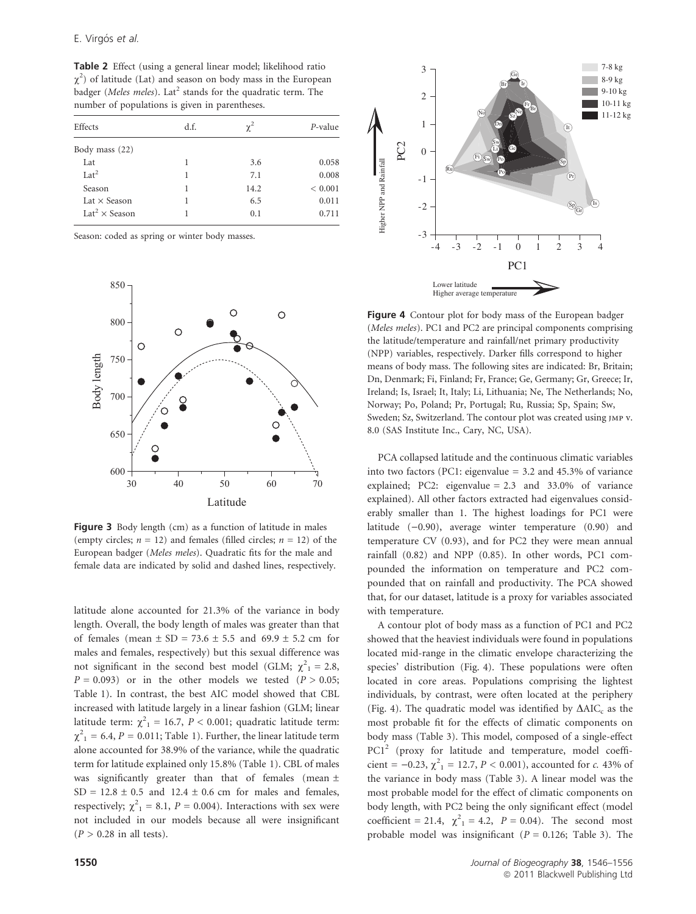Table 2 Effect (using a general linear model; likelihood ratio  $\chi^2$ ) of latitude (Lat) and season on body mass in the European badger (Meles meles). Lat<sup>2</sup> stands for the quadratic term. The number of populations is given in parentheses.

| Effects                          | d.f. | $\chi^2$ | $P$ -value  |
|----------------------------------|------|----------|-------------|
| Body mass $(22)$                 |      |          |             |
| Lat                              |      | 3.6      | 0.058       |
| $Lat^2$                          | 1    | 7.1      | 0.008       |
| Season                           |      | 14.2     | ${}< 0.001$ |
| Lat $\times$ Season              |      | 6.5      | 0.011       |
| Lat <sup>2</sup> $\times$ Season |      | 0.1      | 0.711       |

Season: coded as spring or winter body masses.



Figure 3 Body length (cm) as a function of latitude in males (empty circles;  $n = 12$ ) and females (filled circles;  $n = 12$ ) of the European badger (Meles meles). Quadratic fits for the male and female data are indicated by solid and dashed lines, respectively.

latitude alone accounted for 21.3% of the variance in body length. Overall, the body length of males was greater than that of females (mean  $\pm$  SD = 73.6  $\pm$  5.5 and 69.9  $\pm$  5.2 cm for males and females, respectively) but this sexual difference was not significant in the second best model (GLM;  $\chi^2 = 2.8$ ,  $P = 0.093$ ) or in the other models we tested  $(P > 0.05;$ Table 1). In contrast, the best AIC model showed that CBL increased with latitude largely in a linear fashion (GLM; linear latitude term:  $\chi^2_{1}$  = 16.7, P < 0.001; quadratic latitude term:  $\chi^2_{1}$  = 6.4, *P* = 0.011; Table 1). Further, the linear latitude term alone accounted for 38.9% of the variance, while the quadratic term for latitude explained only 15.8% (Table 1). CBL of males was significantly greater than that of females (mean  $\pm$  $SD = 12.8 \pm 0.5$  and  $12.4 \pm 0.6$  cm for males and females, respectively;  $\chi^2_{1} = 8.1, P = 0.004$ ). Interactions with sex were not included in our models because all were insignificant  $(P > 0.28$  in all tests).



Figure 4 Contour plot for body mass of the European badger (Meles meles). PC1 and PC2 are principal components comprising the latitude/temperature and rainfall/net primary productivity (NPP) variables, respectively. Darker fills correspond to higher means of body mass. The following sites are indicated: Br, Britain; Dn, Denmark; Fi, Finland; Fr, France; Ge, Germany; Gr, Greece; Ir, Ireland; Is, Israel; It, Italy; Li, Lithuania; Ne, The Netherlands; No, Norway; Po, Poland; Pr, Portugal; Ru, Russia; Sp, Spain; Sw, Sweden; Sz, Switzerland. The contour plot was created using JMP v. 8.0 (SAS Institute Inc., Cary, NC, USA).

PCA collapsed latitude and the continuous climatic variables into two factors (PC1: eigenvalue = 3.2 and 45.3% of variance explained; PC2: eigenvalue = 2.3 and 33.0% of variance explained). All other factors extracted had eigenvalues considerably smaller than 1. The highest loadings for PC1 were latitude  $(-0.90)$ , average winter temperature  $(0.90)$  and temperature CV (0.93), and for PC2 they were mean annual rainfall (0.82) and NPP (0.85). In other words, PC1 compounded the information on temperature and PC2 compounded that on rainfall and productivity. The PCA showed that, for our dataset, latitude is a proxy for variables associated with temperature.

A contour plot of body mass as a function of PC1 and PC2 showed that the heaviest individuals were found in populations located mid-range in the climatic envelope characterizing the species' distribution (Fig. 4). These populations were often located in core areas. Populations comprising the lightest individuals, by contrast, were often located at the periphery (Fig. 4). The quadratic model was identified by  $\Delta AIC_c$  as the most probable fit for the effects of climatic components on body mass (Table 3). This model, composed of a single-effect PC1<sup>2</sup> (proxy for latitude and temperature, model coefficient = -0.23,  $\chi^2_{1}$  = 12.7, *P* < 0.001), accounted for *c*. 43% of the variance in body mass (Table 3). A linear model was the most probable model for the effect of climatic components on body length, with PC2 being the only significant effect (model coefficient = 21.4,  $\chi^2_1 = 4.2$ ,  $P = 0.04$ ). The second most probable model was insignificant ( $P = 0.126$ ; Table 3). The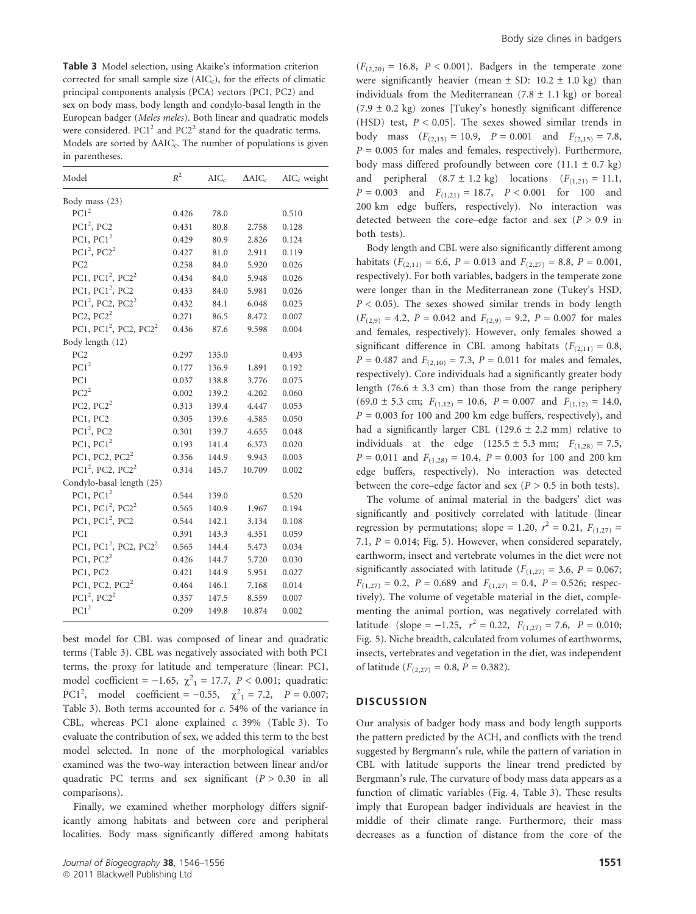Table 3 Model selection, using Akaike's information criterion corrected for small sample size  $(AIC<sub>c</sub>)$ , for the effects of climatic principal components analysis (PCA) vectors (PC1, PC2) and sex on body mass, body length and condylo-basal length in the European badger (Meles meles). Both linear and quadratic models were considered.  $PC1<sup>2</sup>$  and  $PC2<sup>2</sup>$  stand for the quadratic terms. Models are sorted by  $\Delta AIC_c$ . The number of populations is given in parentheses.

| Model                                         | $R^2$ | $AIC_c$ | $\Delta AIC_c$ | $AIC_c$ weight |
|-----------------------------------------------|-------|---------|----------------|----------------|
| Body mass (23)                                |       |         |                |                |
| PC1 <sup>2</sup>                              | 0.426 | 78.0    |                | 0.510          |
| $PC12$ , $PC2$                                | 0.431 | 80.8    | 2.758          | 0.128          |
| PC1, $PC1^2$                                  | 0.429 | 80.9    | 2.826          | 0.124          |
| $PC12$ , $PC22$                               | 0.427 | 81.0    | 2.911          | 0.119          |
| PC <sub>2</sub>                               | 0.258 | 84.0    | 5.920          | 0.026          |
| PC1, $PC1^2$ , $PC2^2$                        | 0.434 | 84.0    | 5.948          | 0.026          |
| PC1, $PC1^2$ , $PC2$                          | 0.433 | 84.0    | 5.981          | 0.026          |
| $PC12$ , PC2, PC2 <sup>2</sup>                | 0.432 | 84.1    | 6.048          | 0.025          |
| PC2, $PC2^2$                                  | 0.271 | 86.5    | 8.472          | 0.007          |
| PC1, PC1 <sup>2</sup> , PC2, PC2 <sup>2</sup> | 0.436 | 87.6    | 9.598          | 0.004          |
| Body length (12)                              |       |         |                |                |
| PC <sub>2</sub>                               | 0.297 | 135.0   |                | 0.493          |
| PC1 <sup>2</sup>                              | 0.177 | 136.9   | 1.891          | 0.192          |
| PC1                                           | 0.037 | 138.8   | 3.776          | 0.075          |
| $PC2^2$                                       | 0.002 | 139.2   | 4.202          | 0.060          |
| PC2, $PC2^2$                                  | 0.313 | 139.4   | 4.447          | 0.053          |
| PC1, PC2                                      | 0.305 | 139.6   | 4.585          | 0.050          |
| $PC12$ , $PC2$                                | 0.301 | 139.7   | 4.655          | 0.048          |
| PC1, $PC1^2$                                  | 0.193 | 141.4   | 6.373          | 0.020          |
| PC1, PC2, $PC2^2$                             | 0.356 | 144.9   | 9.943          | 0.003          |
| PC1 <sup>2</sup> , PC2, PC2 <sup>2</sup>      | 0.314 | 145.7   | 10.709         | 0.002          |
| Condylo-basal length (25)                     |       |         |                |                |
| PC1, PC1 <sup>2</sup>                         | 0.544 | 139.0   |                | 0.520          |
| PC1, $PC12$ , $PC22$                          | 0.565 | 140.9   | 1.967          | 0.194          |
| PC1, $PC1^2$ , $PC2$                          | 0.544 | 142.1   | 3.134          | 0.108          |
| PC1                                           | 0.391 | 143.3   | 4.351          | 0.059          |
| PC1, PC1 <sup>2</sup> , PC2, PC2 <sup>2</sup> | 0.565 | 144.4   | 5.473          | 0.034          |
| PC1, $PC2^2$                                  | 0.426 | 144.7   | 5.720          | 0.030          |
| PC1, PC2                                      | 0.421 | 144.9   | 5.951          | 0.027          |
| PC1, PC2, PC2 <sup>2</sup>                    | 0.464 | 146.1   | 7.168          | 0.014          |
| $PC12$ , $PC22$                               | 0.357 | 147.5   | 8.559          | 0.007          |
| PCl <sup>2</sup>                              | 0.209 | 149.8   | 10.874         | 0.002          |
|                                               |       |         |                |                |

best model for CBL was composed of linear and quadratic terms (Table 3). CBL was negatively associated with both PC1 terms, the proxy for latitude and temperature (linear: PC1, model coefficient = -1.65,  $\chi^2_1 = 17.7$ ,  $P < 0.001$ ; quadratic: PC1<sup>2</sup>, model coefficient = -0.55,  $\chi^2_{1} = 7.2$ ,  $P = 0.007$ ; Table 3). Both terms accounted for c. 54% of the variance in CBL, whereas PC1 alone explained c. 39% (Table 3). To evaluate the contribution of sex, we added this term to the best model selected. In none of the morphological variables examined was the two-way interaction between linear and/or quadratic PC terms and sex significant  $(P > 0.30$  in all comparisons).

Finally, we examined whether morphology differs significantly among habitats and between core and peripheral localities. Body mass significantly differed among habitats

 $(F<sub>(2,20)</sub> = 16.8, P < 0.001)$ . Badgers in the temperate zone were significantly heavier (mean  $\pm$  SD: 10.2  $\pm$  1.0 kg) than individuals from the Mediterranean  $(7.8 \pm 1.1 \text{ kg})$  or boreal  $(7.9 \pm 0.2 \text{ kg})$  zones [Tukey's honestly significant difference (HSD) test,  $P < 0.05$ ]. The sexes showed similar trends in body mass  $(F_{(2,15)} = 10.9, P = 0.001$  and  $F_{(2,15)} = 7.8$ ,  $P = 0.005$  for males and females, respectively). Furthermore, body mass differed profoundly between core  $(11.1 \pm 0.7 \text{ kg})$ and peripheral  $(8.7 \pm 1.2 \text{ kg})$  locations  $(F_{(1,21)} = 11.1,$  $P = 0.003$  and  $F_{(1,21)} = 18.7$ ,  $P < 0.001$  for 100 and 200 km edge buffers, respectively). No interaction was detected between the core–edge factor and sex ( $P > 0.9$  in both tests).

Body length and CBL were also significantly different among habitats ( $F_{(2,11)} = 6.6$ ,  $P = 0.013$  and  $F_{(2,27)} = 8.8$ ,  $P = 0.001$ , respectively). For both variables, badgers in the temperate zone were longer than in the Mediterranean zone (Tukey's HSD,  $P < 0.05$ ). The sexes showed similar trends in body length  $(F<sub>(2,9)</sub> = 4.2, P = 0.042$  and  $F<sub>(2,9)</sub> = 9.2, P = 0.007$  for males and females, respectively). However, only females showed a significant difference in CBL among habitats  $(F_{(2,11)} = 0.8$ ,  $P = 0.487$  and  $F_{(2,10)} = 7.3$ ,  $P = 0.011$  for males and females, respectively). Core individuals had a significantly greater body length (76.6  $\pm$  3.3 cm) than those from the range periphery  $(69.0 \pm 5.3 \text{ cm}; F_{(1,12)} = 10.6, P = 0.007 \text{ and } F_{(1,12)} = 14.0,$  $P = 0.003$  for 100 and 200 km edge buffers, respectively), and had a significantly larger CBL (129.6  $\pm$  2.2 mm) relative to individuals at the edge (125.5 ± 5.3 mm;  $F_{(1,28)} = 7.5$ ,  $P = 0.011$  and  $F_{(1,28)} = 10.4$ ,  $P = 0.003$  for 100 and 200 km edge buffers, respectively). No interaction was detected between the core–edge factor and sex ( $P > 0.5$  in both tests).

The volume of animal material in the badgers' diet was significantly and positively correlated with latitude (linear regression by permutations; slope = 1.20,  $r^2 = 0.21$ ,  $F_{(1,27)} =$ 7.1,  $P = 0.014$ ; Fig. 5). However, when considered separately, earthworm, insect and vertebrate volumes in the diet were not significantly associated with latitude ( $F_{(1,27)} = 3.6$ ,  $P = 0.067$ ;  $F_{(1,27)} = 0.2$ ,  $P = 0.689$  and  $F_{(1,27)} = 0.4$ ,  $P = 0.526$ ; respectively). The volume of vegetable material in the diet, complementing the animal portion, was negatively correlated with latitude (slope = -1.25,  $r^2 = 0.22$ ,  $F_{(1,27)} = 7.6$ ,  $P = 0.010$ ; Fig. 5). Niche breadth, calculated from volumes of earthworms, insects, vertebrates and vegetation in the diet, was independent of latitude ( $F_{(2,27)} = 0.8$ ,  $P = 0.382$ ).

#### **DISCUSSION**

Our analysis of badger body mass and body length supports the pattern predicted by the ACH, and conflicts with the trend suggested by Bergmann's rule, while the pattern of variation in CBL with latitude supports the linear trend predicted by Bergmann's rule. The curvature of body mass data appears as a function of climatic variables (Fig. 4, Table 3). These results imply that European badger individuals are heaviest in the middle of their climate range. Furthermore, their mass decreases as a function of distance from the core of the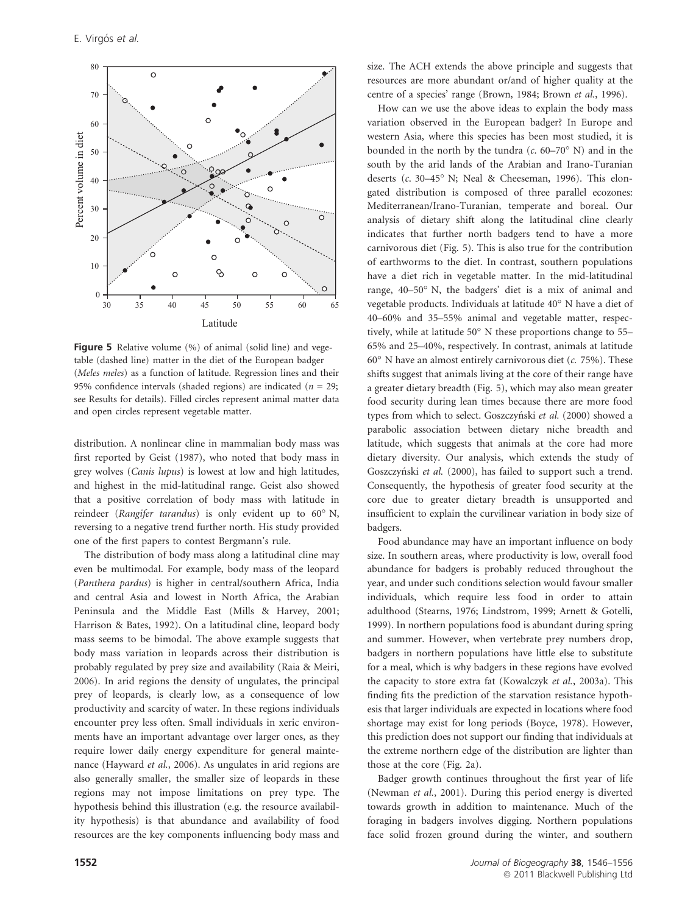

Figure 5 Relative volume (%) of animal (solid line) and vegetable (dashed line) matter in the diet of the European badger (Meles meles) as a function of latitude. Regression lines and their 95% confidence intervals (shaded regions) are indicated ( $n = 29$ ; see Results for details). Filled circles represent animal matter data and open circles represent vegetable matter.

distribution. A nonlinear cline in mammalian body mass was first reported by Geist (1987), who noted that body mass in grey wolves (Canis lupus) is lowest at low and high latitudes, and highest in the mid-latitudinal range. Geist also showed that a positive correlation of body mass with latitude in reindeer (Rangifer tarandus) is only evident up to 60° N, reversing to a negative trend further north. His study provided one of the first papers to contest Bergmann's rule.

The distribution of body mass along a latitudinal cline may even be multimodal. For example, body mass of the leopard (Panthera pardus) is higher in central/southern Africa, India and central Asia and lowest in North Africa, the Arabian Peninsula and the Middle East (Mills & Harvey, 2001; Harrison & Bates, 1992). On a latitudinal cline, leopard body mass seems to be bimodal. The above example suggests that body mass variation in leopards across their distribution is probably regulated by prey size and availability (Raia & Meiri, 2006). In arid regions the density of ungulates, the principal prey of leopards, is clearly low, as a consequence of low productivity and scarcity of water. In these regions individuals encounter prey less often. Small individuals in xeric environments have an important advantage over larger ones, as they require lower daily energy expenditure for general maintenance (Hayward et al., 2006). As ungulates in arid regions are also generally smaller, the smaller size of leopards in these regions may not impose limitations on prey type. The hypothesis behind this illustration (e.g. the resource availability hypothesis) is that abundance and availability of food resources are the key components influencing body mass and size. The ACH extends the above principle and suggests that resources are more abundant or/and of higher quality at the centre of a species' range (Brown, 1984; Brown et al., 1996).

How can we use the above ideas to explain the body mass variation observed in the European badger? In Europe and western Asia, where this species has been most studied, it is bounded in the north by the tundra  $(c. 60-70° \text{ N})$  and in the south by the arid lands of the Arabian and Irano-Turanian deserts ( $c$ . 30–45 $^{\circ}$  N; Neal & Cheeseman, 1996). This elongated distribution is composed of three parallel ecozones: Mediterranean/Irano-Turanian, temperate and boreal. Our analysis of dietary shift along the latitudinal cline clearly indicates that further north badgers tend to have a more carnivorous diet (Fig. 5). This is also true for the contribution of earthworms to the diet. In contrast, southern populations have a diet rich in vegetable matter. In the mid-latitudinal range, 40–50° N, the badgers' diet is a mix of animal and vegetable products. Individuals at latitude 40° N have a diet of 40–60% and 35–55% animal and vegetable matter, respectively, while at latitude  $50^{\circ}$  N these proportions change to 55– 65% and 25–40%, respectively. In contrast, animals at latitude  $60^{\circ}$  N have an almost entirely carnivorous diet (*c.* 75%). These shifts suggest that animals living at the core of their range have a greater dietary breadth (Fig. 5), which may also mean greater food security during lean times because there are more food types from which to select. Goszczyński et al. (2000) showed a parabolic association between dietary niche breadth and latitude, which suggests that animals at the core had more dietary diversity. Our analysis, which extends the study of Goszczyński et al. (2000), has failed to support such a trend. Consequently, the hypothesis of greater food security at the core due to greater dietary breadth is unsupported and insufficient to explain the curvilinear variation in body size of badgers.

Food abundance may have an important influence on body size. In southern areas, where productivity is low, overall food abundance for badgers is probably reduced throughout the year, and under such conditions selection would favour smaller individuals, which require less food in order to attain adulthood (Stearns, 1976; Lindstrom, 1999; Arnett & Gotelli, 1999). In northern populations food is abundant during spring and summer. However, when vertebrate prey numbers drop, badgers in northern populations have little else to substitute for a meal, which is why badgers in these regions have evolved the capacity to store extra fat (Kowalczyk et al., 2003a). This finding fits the prediction of the starvation resistance hypothesis that larger individuals are expected in locations where food shortage may exist for long periods (Boyce, 1978). However, this prediction does not support our finding that individuals at the extreme northern edge of the distribution are lighter than those at the core (Fig. 2a).

Badger growth continues throughout the first year of life (Newman et al., 2001). During this period energy is diverted towards growth in addition to maintenance. Much of the foraging in badgers involves digging. Northern populations face solid frozen ground during the winter, and southern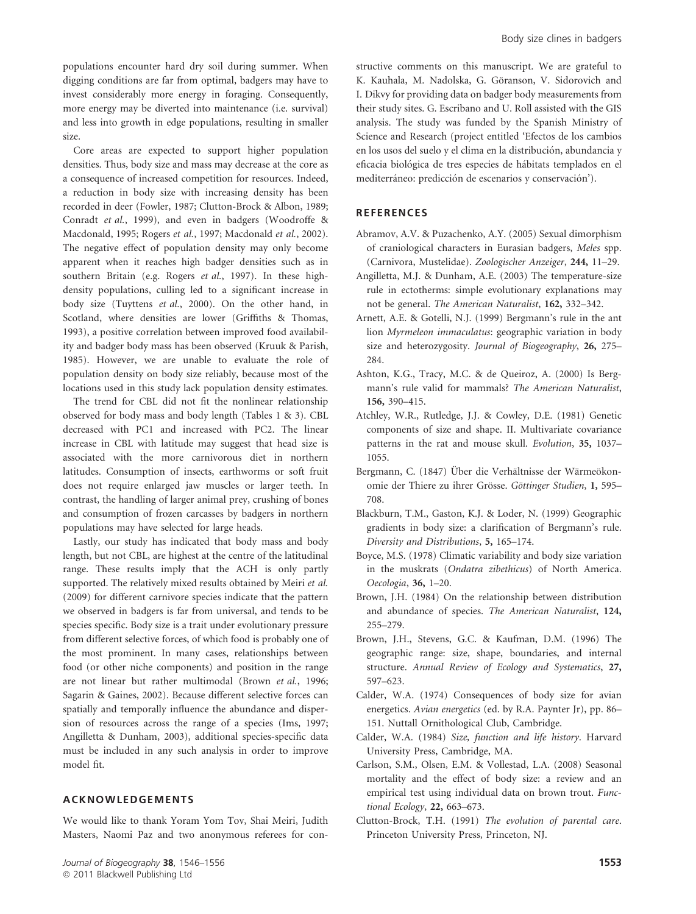populations encounter hard dry soil during summer. When digging conditions are far from optimal, badgers may have to invest considerably more energy in foraging. Consequently, more energy may be diverted into maintenance (i.e. survival) and less into growth in edge populations, resulting in smaller size.

Core areas are expected to support higher population densities. Thus, body size and mass may decrease at the core as a consequence of increased competition for resources. Indeed, a reduction in body size with increasing density has been recorded in deer (Fowler, 1987; Clutton-Brock & Albon, 1989; Conradt et al., 1999), and even in badgers (Woodroffe & Macdonald, 1995; Rogers et al., 1997; Macdonald et al., 2002). The negative effect of population density may only become apparent when it reaches high badger densities such as in southern Britain (e.g. Rogers et al., 1997). In these highdensity populations, culling led to a significant increase in body size (Tuyttens et al., 2000). On the other hand, in Scotland, where densities are lower (Griffiths & Thomas, 1993), a positive correlation between improved food availability and badger body mass has been observed (Kruuk & Parish, 1985). However, we are unable to evaluate the role of population density on body size reliably, because most of the locations used in this study lack population density estimates.

The trend for CBL did not fit the nonlinear relationship observed for body mass and body length (Tables 1 & 3). CBL decreased with PC1 and increased with PC2. The linear increase in CBL with latitude may suggest that head size is associated with the more carnivorous diet in northern latitudes. Consumption of insects, earthworms or soft fruit does not require enlarged jaw muscles or larger teeth. In contrast, the handling of larger animal prey, crushing of bones and consumption of frozen carcasses by badgers in northern populations may have selected for large heads.

Lastly, our study has indicated that body mass and body length, but not CBL, are highest at the centre of the latitudinal range. These results imply that the ACH is only partly supported. The relatively mixed results obtained by Meiri et al. (2009) for different carnivore species indicate that the pattern we observed in badgers is far from universal, and tends to be species specific. Body size is a trait under evolutionary pressure from different selective forces, of which food is probably one of the most prominent. In many cases, relationships between food (or other niche components) and position in the range are not linear but rather multimodal (Brown et al., 1996; Sagarin & Gaines, 2002). Because different selective forces can spatially and temporally influence the abundance and dispersion of resources across the range of a species (Ims, 1997; Angilletta & Dunham, 2003), additional species-specific data must be included in any such analysis in order to improve model fit.

## ACKNOWLEDGEMENTS

We would like to thank Yoram Yom Tov, Shai Meiri, Judith Masters, Naomi Paz and two anonymous referees for con-

structive comments on this manuscript. We are grateful to K. Kauhala, M. Nadolska, G. Göranson, V. Sidorovich and I. Dikvy for providing data on badger body measurements from their study sites. G. Escribano and U. Roll assisted with the GIS analysis. The study was funded by the Spanish Ministry of Science and Research (project entitled 'Efectos de los cambios en los usos del suelo y el clima en la distribución, abundancia y eficacia biológica de tres especies de hábitats templados en el mediterráneo: predicción de escenarios y conservación').

#### **REFERENCES**

- Abramov, A.V. & Puzachenko, A.Y. (2005) Sexual dimorphism of craniological characters in Eurasian badgers, Meles spp. (Carnivora, Mustelidae). Zoologischer Anzeiger, 244, 11–29.
- Angilletta, M.J. & Dunham, A.E. (2003) The temperature-size rule in ectotherms: simple evolutionary explanations may not be general. The American Naturalist, 162, 332–342.
- Arnett, A.E. & Gotelli, N.J. (1999) Bergmann's rule in the ant lion Myrmeleon immaculatus: geographic variation in body size and heterozygosity. Journal of Biogeography, 26, 275– 284.
- Ashton, K.G., Tracy, M.C. & de Queiroz, A. (2000) Is Bergmann's rule valid for mammals? The American Naturalist, 156, 390–415.
- Atchley, W.R., Rutledge, J.J. & Cowley, D.E. (1981) Genetic components of size and shape. II. Multivariate covariance patterns in the rat and mouse skull. Evolution, 35, 1037– 1055.
- Bergmann, C. (1847) Über die Verhältnisse der Wärmeökonomie der Thiere zu ihrer Grösse. Göttinger Studien, 1, 595– 708.
- Blackburn, T.M., Gaston, K.J. & Loder, N. (1999) Geographic gradients in body size: a clarification of Bergmann's rule. Diversity and Distributions, 5, 165–174.
- Boyce, M.S. (1978) Climatic variability and body size variation in the muskrats (Ondatra zibethicus) of North America. Oecologia, 36, 1–20.
- Brown, J.H. (1984) On the relationship between distribution and abundance of species. The American Naturalist, 124, 255–279.
- Brown, J.H., Stevens, G.C. & Kaufman, D.M. (1996) The geographic range: size, shape, boundaries, and internal structure. Annual Review of Ecology and Systematics, 27, 597–623.
- Calder, W.A. (1974) Consequences of body size for avian energetics. Avian energetics (ed. by R.A. Paynter Jr), pp. 86– 151. Nuttall Ornithological Club, Cambridge.
- Calder, W.A. (1984) Size, function and life history. Harvard University Press, Cambridge, MA.
- Carlson, S.M., Olsen, E.M. & Vollestad, L.A. (2008) Seasonal mortality and the effect of body size: a review and an empirical test using individual data on brown trout. Functional Ecology, 22, 663–673.
- Clutton-Brock, T.H. (1991) The evolution of parental care. Princeton University Press, Princeton, NJ.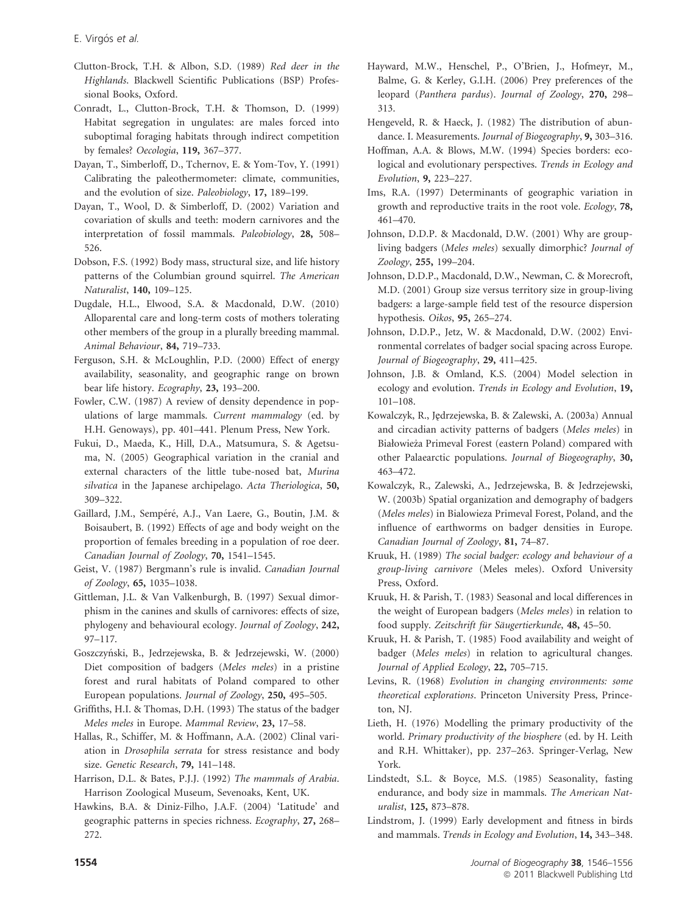- Clutton-Brock, T.H. & Albon, S.D. (1989) Red deer in the Highlands. Blackwell Scientific Publications (BSP) Professional Books, Oxford.
- Conradt, L., Clutton-Brock, T.H. & Thomson, D. (1999) Habitat segregation in ungulates: are males forced into suboptimal foraging habitats through indirect competition by females? Oecologia, 119, 367–377.
- Dayan, T., Simberloff, D., Tchernov, E. & Yom-Tov, Y. (1991) Calibrating the paleothermometer: climate, communities, and the evolution of size. Paleobiology, 17, 189–199.
- Dayan, T., Wool, D. & Simberloff, D. (2002) Variation and covariation of skulls and teeth: modern carnivores and the interpretation of fossil mammals. Paleobiology, 28, 508– 526.
- Dobson, F.S. (1992) Body mass, structural size, and life history patterns of the Columbian ground squirrel. The American Naturalist, 140, 109–125.
- Dugdale, H.L., Elwood, S.A. & Macdonald, D.W. (2010) Alloparental care and long-term costs of mothers tolerating other members of the group in a plurally breeding mammal. Animal Behaviour, 84, 719–733.
- Ferguson, S.H. & McLoughlin, P.D. (2000) Effect of energy availability, seasonality, and geographic range on brown bear life history. Ecography, 23, 193–200.
- Fowler, C.W. (1987) A review of density dependence in populations of large mammals. Current mammalogy (ed. by H.H. Genoways), pp. 401–441. Plenum Press, New York.
- Fukui, D., Maeda, K., Hill, D.A., Matsumura, S. & Agetsuma, N. (2005) Geographical variation in the cranial and external characters of the little tube-nosed bat, Murina silvatica in the Japanese archipelago. Acta Theriologica, 50, 309–322.
- Gaillard, J.M., Sempéré, A.J., Van Laere, G., Boutin, J.M. & Boisaubert, B. (1992) Effects of age and body weight on the proportion of females breeding in a population of roe deer. Canadian Journal of Zoology, 70, 1541–1545.
- Geist, V. (1987) Bergmann's rule is invalid. Canadian Journal of Zoology, 65, 1035–1038.
- Gittleman, J.L. & Van Valkenburgh, B. (1997) Sexual dimorphism in the canines and skulls of carnivores: effects of size, phylogeny and behavioural ecology. Journal of Zoology, 242, 97–117.
- Goszczyn´ski, B., Jedrzejewska, B. & Jedrzejewski, W. (2000) Diet composition of badgers (Meles meles) in a pristine forest and rural habitats of Poland compared to other European populations. Journal of Zoology, 250, 495–505.
- Griffiths, H.I. & Thomas, D.H. (1993) The status of the badger Meles meles in Europe. Mammal Review, 23, 17–58.
- Hallas, R., Schiffer, M. & Hoffmann, A.A. (2002) Clinal variation in Drosophila serrata for stress resistance and body size. Genetic Research, 79, 141–148.
- Harrison, D.L. & Bates, P.J.J. (1992) The mammals of Arabia. Harrison Zoological Museum, Sevenoaks, Kent, UK.
- Hawkins, B.A. & Diniz-Filho, J.A.F. (2004) 'Latitude' and geographic patterns in species richness. Ecography, 27, 268– 272.
- Hayward, M.W., Henschel, P., O'Brien, J., Hofmeyr, M., Balme, G. & Kerley, G.I.H. (2006) Prey preferences of the leopard (Panthera pardus). Journal of Zoology, 270, 298– 313.
- Hengeveld, R. & Haeck, J. (1982) The distribution of abundance. I. Measurements. Journal of Biogeography, 9, 303–316.
- Hoffman, A.A. & Blows, M.W. (1994) Species borders: ecological and evolutionary perspectives. Trends in Ecology and Evolution, 9, 223–227.
- Ims, R.A. (1997) Determinants of geographic variation in growth and reproductive traits in the root vole. Ecology, 78, 461–470.
- Johnson, D.D.P. & Macdonald, D.W. (2001) Why are groupliving badgers (Meles meles) sexually dimorphic? Journal of Zoology, 255, 199–204.
- Johnson, D.D.P., Macdonald, D.W., Newman, C. & Morecroft, M.D. (2001) Group size versus territory size in group-living badgers: a large-sample field test of the resource dispersion hypothesis. Oikos, 95, 265–274.
- Johnson, D.D.P., Jetz, W. & Macdonald, D.W. (2002) Environmental correlates of badger social spacing across Europe. Journal of Biogeography, 29, 411–425.
- Johnson, J.B. & Omland, K.S. (2004) Model selection in ecology and evolution. Trends in Ecology and Evolution, 19, 101–108.
- Kowalczyk, R., Jędrzejewska, B. & Zalewski, A. (2003a) Annual and circadian activity patterns of badgers (Meles meles) in Białowieza Primeval Forest (eastern Poland) compared with \_ other Palaearctic populations. Journal of Biogeography, 30, 463–472.
- Kowalczyk, R., Zalewski, A., Jedrzejewska, B. & Jedrzejewski, W. (2003b) Spatial organization and demography of badgers (Meles meles) in Bialowieza Primeval Forest, Poland, and the influence of earthworms on badger densities in Europe. Canadian Journal of Zoology, 81, 74–87.
- Kruuk, H. (1989) The social badger: ecology and behaviour of a group-living carnivore (Meles meles). Oxford University Press, Oxford.
- Kruuk, H. & Parish, T. (1983) Seasonal and local differences in the weight of European badgers (Meles meles) in relation to food supply. Zeitschrift für Säugertierkunde, 48, 45–50.
- Kruuk, H. & Parish, T. (1985) Food availability and weight of badger (Meles meles) in relation to agricultural changes. Journal of Applied Ecology, 22, 705–715.
- Levins, R. (1968) Evolution in changing environments: some theoretical explorations. Princeton University Press, Princeton, NJ.
- Lieth, H. (1976) Modelling the primary productivity of the world. Primary productivity of the biosphere (ed. by H. Leith and R.H. Whittaker), pp. 237–263. Springer-Verlag, New York.
- Lindstedt, S.L. & Boyce, M.S. (1985) Seasonality, fasting endurance, and body size in mammals. The American Naturalist, 125, 873–878.
- Lindstrom, J. (1999) Early development and fitness in birds and mammals. Trends in Ecology and Evolution, 14, 343–348.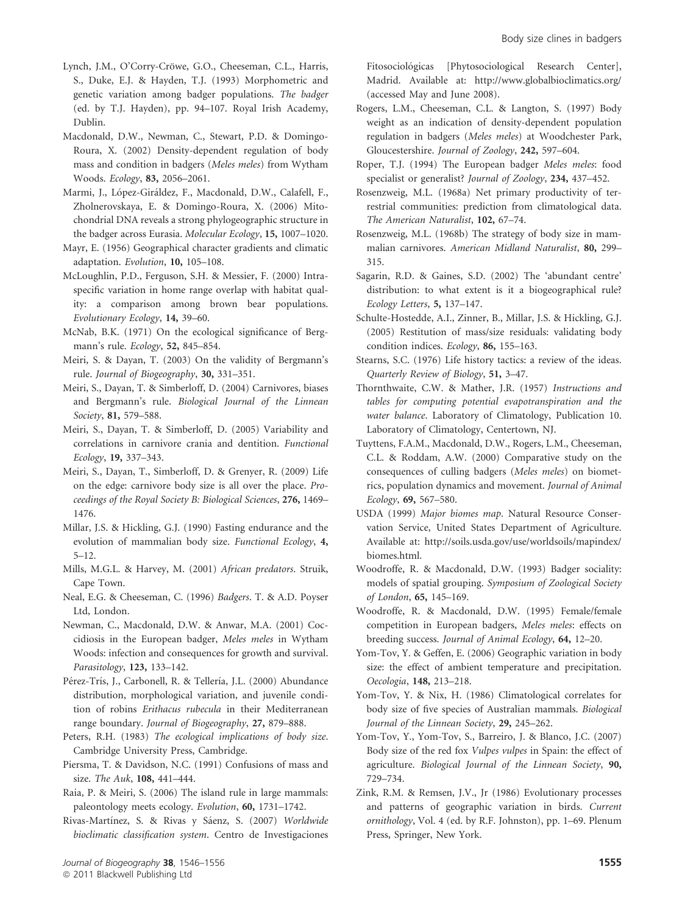- Lynch, J.M., O'Corry-Cröwe, G.O., Cheeseman, C.L., Harris, S., Duke, E.J. & Hayden, T.J. (1993) Morphometric and genetic variation among badger populations. The badger (ed. by T.J. Hayden), pp. 94–107. Royal Irish Academy, Dublin.
- Macdonald, D.W., Newman, C., Stewart, P.D. & Domingo-Roura, X. (2002) Density-dependent regulation of body mass and condition in badgers (Meles meles) from Wytham Woods. Ecology, 83, 2056–2061.
- Marmi, J., López-Giráldez, F., Macdonald, D.W., Calafell, F., Zholnerovskaya, E. & Domingo-Roura, X. (2006) Mitochondrial DNA reveals a strong phylogeographic structure in the badger across Eurasia. Molecular Ecology, 15, 1007–1020.
- Mayr, E. (1956) Geographical character gradients and climatic adaptation. Evolution, 10, 105–108.
- McLoughlin, P.D., Ferguson, S.H. & Messier, F. (2000) Intraspecific variation in home range overlap with habitat quality: a comparison among brown bear populations. Evolutionary Ecology, 14, 39–60.
- McNab, B.K. (1971) On the ecological significance of Bergmann's rule. Ecology, 52, 845–854.
- Meiri, S. & Dayan, T. (2003) On the validity of Bergmann's rule. Journal of Biogeography, 30, 331–351.
- Meiri, S., Dayan, T. & Simberloff, D. (2004) Carnivores, biases and Bergmann's rule. Biological Journal of the Linnean Society, 81, 579–588.
- Meiri, S., Dayan, T. & Simberloff, D. (2005) Variability and correlations in carnivore crania and dentition. Functional Ecology, 19, 337–343.
- Meiri, S., Dayan, T., Simberloff, D. & Grenyer, R. (2009) Life on the edge: carnivore body size is all over the place. Proceedings of the Royal Society B: Biological Sciences, 276, 1469– 1476.
- Millar, J.S. & Hickling, G.J. (1990) Fasting endurance and the evolution of mammalian body size. Functional Ecology, 4, 5–12.
- Mills, M.G.L. & Harvey, M. (2001) African predators. Struik, Cape Town.
- Neal, E.G. & Cheeseman, C. (1996) Badgers. T. & A.D. Poyser Ltd, London.
- Newman, C., Macdonald, D.W. & Anwar, M.A. (2001) Coccidiosis in the European badger, Meles meles in Wytham Woods: infection and consequences for growth and survival. Parasitology, 123, 133–142.
- Pérez-Trís, J., Carbonell, R. & Tellería, J.L. (2000) Abundance distribution, morphological variation, and juvenile condition of robins Erithacus rubecula in their Mediterranean range boundary. Journal of Biogeography, 27, 879–888.
- Peters, R.H. (1983) The ecological implications of body size. Cambridge University Press, Cambridge.
- Piersma, T. & Davidson, N.C. (1991) Confusions of mass and size. The Auk, 108, 441–444.
- Raia, P. & Meiri, S. (2006) The island rule in large mammals: paleontology meets ecology. Evolution, 60, 1731–1742.

Rivas-Martínez, S. & Rivas y Sáenz, S. (2007) Worldwide bioclimatic classification system. Centro de Investigaciones Fitosociológicas [Phytosociological Research Center], Madrid. Available at: http://www.globalbioclimatics.org/ (accessed May and June 2008).

- Rogers, L.M., Cheeseman, C.L. & Langton, S. (1997) Body weight as an indication of density-dependent population regulation in badgers (Meles meles) at Woodchester Park, Gloucestershire. Journal of Zoology, 242, 597–604.
- Roper, T.J. (1994) The European badger Meles meles: food specialist or generalist? Journal of Zoology, 234, 437–452.
- Rosenzweig, M.L. (1968a) Net primary productivity of terrestrial communities: prediction from climatological data. The American Naturalist, 102, 67–74.
- Rosenzweig, M.L. (1968b) The strategy of body size in mammalian carnivores. American Midland Naturalist, 80, 299– 315.
- Sagarin, R.D. & Gaines, S.D. (2002) The 'abundant centre' distribution: to what extent is it a biogeographical rule? Ecology Letters, 5, 137–147.
- Schulte-Hostedde, A.I., Zinner, B., Millar, J.S. & Hickling, G.J. (2005) Restitution of mass/size residuals: validating body condition indices. Ecology, 86, 155–163.
- Stearns, S.C. (1976) Life history tactics: a review of the ideas. Quarterly Review of Biology, 51, 3–47.
- Thornthwaite, C.W. & Mather, J.R. (1957) Instructions and tables for computing potential evapotranspiration and the water balance. Laboratory of Climatology, Publication 10. Laboratory of Climatology, Centertown, NJ.
- Tuyttens, F.A.M., Macdonald, D.W., Rogers, L.M., Cheeseman, C.L. & Roddam, A.W. (2000) Comparative study on the consequences of culling badgers (Meles meles) on biometrics, population dynamics and movement. Journal of Animal Ecology, 69, 567–580.
- USDA (1999) Major biomes map. Natural Resource Conservation Service, United States Department of Agriculture. Available at: http://soils.usda.gov/use/worldsoils/mapindex/ biomes.html.
- Woodroffe, R. & Macdonald, D.W. (1993) Badger sociality: models of spatial grouping. Symposium of Zoological Society of London, 65, 145–169.
- Woodroffe, R. & Macdonald, D.W. (1995) Female/female competition in European badgers, Meles meles: effects on breeding success. Journal of Animal Ecology, 64, 12–20.
- Yom-Tov, Y. & Geffen, E. (2006) Geographic variation in body size: the effect of ambient temperature and precipitation. Oecologia, 148, 213–218.
- Yom-Tov, Y. & Nix, H. (1986) Climatological correlates for body size of five species of Australian mammals. Biological Journal of the Linnean Society, 29, 245–262.
- Yom-Tov, Y., Yom-Tov, S., Barreiro, J. & Blanco, J.C. (2007) Body size of the red fox Vulpes vulpes in Spain: the effect of agriculture. Biological Journal of the Linnean Society, 90, 729–734.
- Zink, R.M. & Remsen, J.V., Jr (1986) Evolutionary processes and patterns of geographic variation in birds. Current ornithology, Vol. 4 (ed. by R.F. Johnston), pp. 1–69. Plenum Press, Springer, New York.